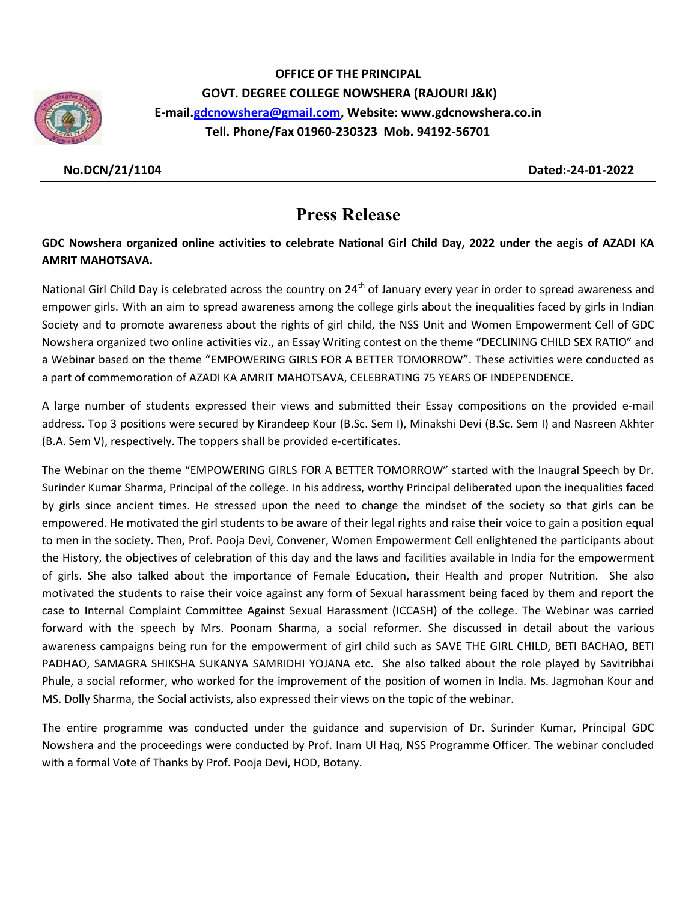

OFFICE OF THE PRINCIPAL GOVT. DEGREE COLLEGE NOWSHERA (RAJOURI J&K) E-mail.gdcnowshera@gmail.com, Website: www.gdcnowshera.co.in Tell. Phone/Fax 01960-230323 Mob. 94192-56701

No.DCN/21/1104 Dated:-24-01-2022

## Press Release

## GDC Nowshera organized online activities to celebrate National Girl Child Day, 2022 under the aegis of AZADI KA AMRIT MAHOTSAVA.

National Girl Child Day is celebrated across the country on 24<sup>th</sup> of January every year in order to spread awareness and empower girls. With an aim to spread awareness among the college girls about the inequalities faced by girls in Indian Society and to promote awareness about the rights of girl child, the NSS Unit and Women Empowerment Cell of GDC Nowshera organized two online activities viz., an Essay Writing contest on the theme "DECLINING CHILD SEX RATIO" and a Webinar based on the theme "EMPOWERING GIRLS FOR A BETTER TOMORROW". These activities were conducted as a part of commemoration of AZADI KA AMRIT MAHOTSAVA, CELEBRATING 75 YEARS OF INDEPENDENCE.

A large number of students expressed their views and submitted their Essay compositions on the provided e-mail address. Top 3 positions were secured by Kirandeep Kour (B.Sc. Sem I), Minakshi Devi (B.Sc. Sem I) and Nasreen Akhter (B.A. Sem V), respectively. The toppers shall be provided e-certificates.

The Webinar on the theme "EMPOWERING GIRLS FOR A BETTER TOMORROW" started with the Inaugral Speech by Dr. Surinder Kumar Sharma, Principal of the college. In his address, worthy Principal deliberated upon the inequalities faced by girls since ancient times. He stressed upon the need to change the mindset of the society so that girls can be empowered. He motivated the girl students to be aware of their legal rights and raise their voice to gain a position equal to men in the society. Then, Prof. Pooja Devi, Convener, Women Empowerment Cell enlightened the participants about the History, the objectives of celebration of this day and the laws and facilities available in India for the empowerment of girls. She also talked about the importance of Female Education, their Health and proper Nutrition. She also motivated the students to raise their voice against any form of Sexual harassment being faced by them and report the case to Internal Complaint Committee Against Sexual Harassment (ICCASH) of the college. The Webinar was carried forward with the speech by Mrs. Poonam Sharma, a social reformer. She discussed in detail about the various awareness campaigns being run for the empowerment of girl child such as SAVE THE GIRL CHILD, BETI BACHAO, BETI PADHAO, SAMAGRA SHIKSHA SUKANYA SAMRIDHI YOJANA etc. She also talked about the role played by Savitribhai Phule, a social reformer, who worked for the improvement of the position of women in India. Ms. Jagmohan Kour and MS. Dolly Sharma, the Social activists, also expressed their views on the topic of the webinar.

The entire programme was conducted under the guidance and supervision of Dr. Surinder Kumar, Principal GDC Nowshera and the proceedings were conducted by Prof. Inam Ul Haq, NSS Programme Officer. The webinar concluded with a formal Vote of Thanks by Prof. Pooja Devi, HOD, Botany.